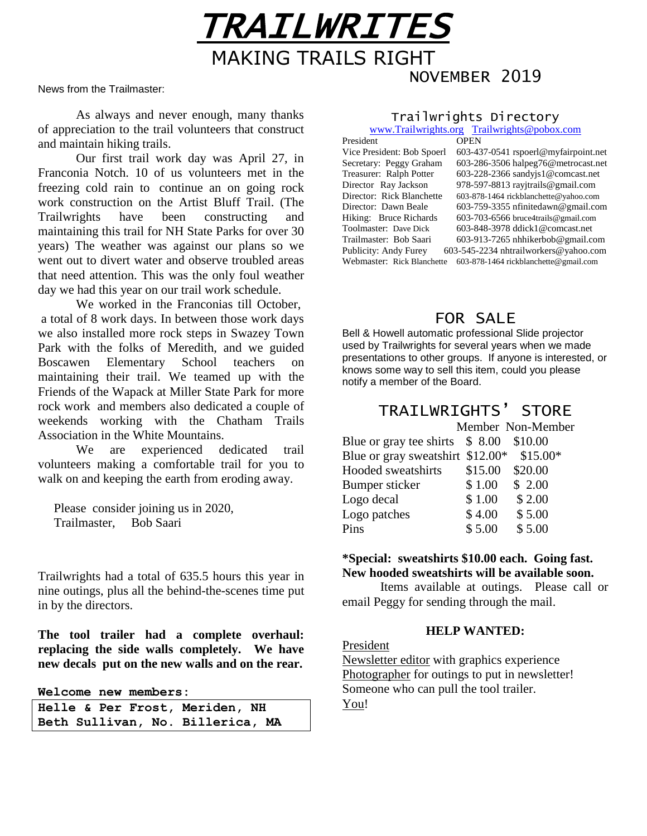News from the Trailmaster:

As always and never enough, many thanks of appreciation to the trail volunteers that construct and maintain hiking trails.

Our first trail work day was April 27, in Franconia Notch. 10 of us volunteers met in the freezing cold rain to continue an on going rock work construction on the Artist Bluff Trail. (The Trailwrights have been constructing and maintaining this trail for NH State Parks for over 30 years) The weather was against our plans so we went out to divert water and observe troubled areas that need attention. This was the only foul weather day we had this year on our trail work schedule.

We worked in the Franconias till October, a total of 8 work days. In between those work days we also installed more rock steps in Swazey Town Park with the folks of Meredith, and we guided Boscawen Elementary School teachers on maintaining their trail. We teamed up with the Friends of the Wapack at Miller State Park for more rock work and members also dedicated a couple of weekends working with the Chatham Trails Association in the White Mountains.

We are experienced dedicated trail volunteers making a comfortable trail for you to walk on and keeping the earth from eroding away.

Please consider joining us in 2020, Trailmaster, Bob Saari

Trailwrights had a total of 635.5 hours this year in nine outings, plus all the behind-the-scenes time put in by the directors.

**The tool trailer had a complete overhaul: replacing the side walls completely. We have new decals put on the new walls and on the rear.**

**Welcome new members:**

|  |  | Helle & Per Frost, Meriden, NH   |  |
|--|--|----------------------------------|--|
|  |  | Beth Sullivan, No. Billerica, MA |  |

### Trailwrights Directory

NOVEMBER 2019

TRAILWRITES

MAKING TRAILS RIGHT

|                            | www.Trailwrights.org Trailwrights@pobox.com |
|----------------------------|---------------------------------------------|
| President                  | <b>OPEN</b>                                 |
| Vice President: Bob Spoerl | 603-437-0541 rspoerl@myfairpoint.net        |
| Secretary: Peggy Graham    | 603-286-3506 halpeg76@metrocast.net         |
| Treasurer: Ralph Potter    | 603-228-2366 sandyjs1@comcast.net           |
| Director Ray Jackson       | 978-597-8813 ray itrails@gmail.com          |
| Director: Rick Blanchette  | 603-878-1464 rickblanchette@yahoo.com       |
| Director: Dawn Beale       | $603-759-3355$ nfinitedawn@gmail.com        |
| Hiking: Bruce Richards     | 603-703-6566 bruce4trails@gmail.com         |
| Toolmaster: Dave Dick      | 603-848-3978 ddick1@comcast.net             |
| Trailmaster: Bob Saari     | $603-913-7265$ nhhikerbob@gmail.com         |
| Publicity: Andy Furey      | 603-545-2234 nhtrailworkers@yahoo.com       |
| Webmaster: Rick Blanchette | 603-878-1464 rickblanchette@gmail.com       |

## FOR SALE

Bell & Howell automatic professional Slide projector used by Trailwrights for several years when we made presentations to other groups. If anyone is interested, or knows some way to sell this item, could you please notify a member of the Board.

# TRAILWRIGHTS' STORE

|                                  |         | Member Non-Member |
|----------------------------------|---------|-------------------|
| Blue or gray tee shirts \$ 8.00  |         | \$10.00           |
| Blue or gray sweatshirt \$12.00* |         | $$15.00*$         |
| Hooded sweatshirts               | \$15.00 | \$20.00           |
| Bumper sticker                   | \$1.00  | \$2.00            |
| Logo decal                       | \$1.00  | \$2.00            |
| Logo patches                     | \$4.00  | \$5.00            |
| Pins                             | \$5.00  | \$5.00            |

### **\*Special: sweatshirts \$10.00 each. Going fast. New hooded sweatshirts will be available soon.**

Items available at outings. Please call or email Peggy for sending through the mail.

### **HELP WANTED:**

President

Newsletter editor with graphics experience Photographer for outings to put in newsletter! Someone who can pull the tool trailer. You!